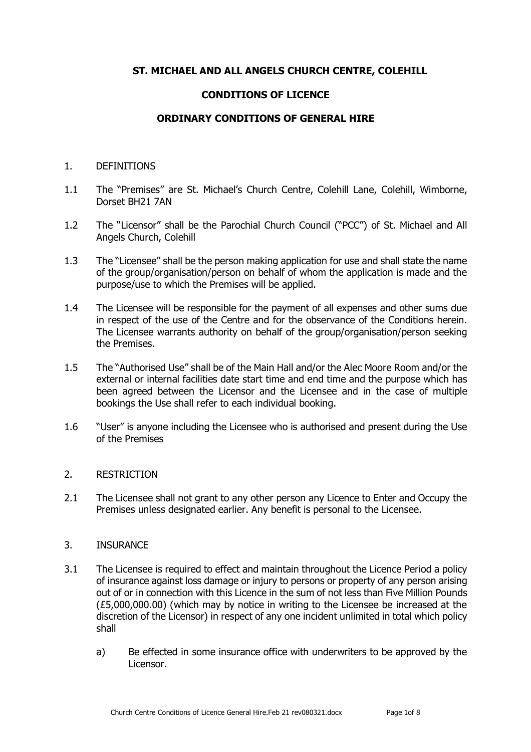# **ST. MICHAEL AND ALL ANGELS CHURCH CENTRE, COLEHILL**

## **CONDITIONS OF LICENCE**

## **ORDINARY CONDITIONS OF GENERAL HIRE**

#### 1. DEFINITIONS

- 1.1 The "Premises" are St. Michael's Church Centre, Colehill Lane, Colehill, Wimborne, Dorset BH21 7AN
- 1.2 The "Licensor" shall be the Parochial Church Council ("PCC") of St. Michael and All Angels Church, Colehill
- 1.3 The "Licensee" shall be the person making application for use and shall state the name of the group/organisation/person on behalf of whom the application is made and the purpose/use to which the Premises will be applied.
- 1.4 The Licensee will be responsible for the payment of all expenses and other sums due in respect of the use of the Centre and for the observance of the Conditions herein. The Licensee warrants authority on behalf of the group/organisation/person seeking the Premises.
- 1.5 The "Authorised Use" shall be of the Main Hall and/or the Alec Moore Room and/or the external or internal facilities date start time and end time and the purpose which has been agreed between the Licensor and the Licensee and in the case of multiple bookings the Use shall refer to each individual booking.
- 1.6 "User" is anyone including the Licensee who is authorised and present during the Use of the Premises

### 2. RESTRICTION

2.1 The Licensee shall not grant to any other person any Licence to Enter and Occupy the Premises unless designated earlier. Any benefit is personal to the Licensee.

### 3. INSURANCE

- 3.1 The Licensee is required to effect and maintain throughout the Licence Period a policy of insurance against loss damage or injury to persons or property of any person arising out of or in connection with this Licence in the sum of not less than Five Million Pounds (£5,000,000.00) (which may by notice in writing to the Licensee be increased at the discretion of the Licensor) in respect of any one incident unlimited in total which policy shall
	- a) Be effected in some insurance office with underwriters to be approved by the Licensor.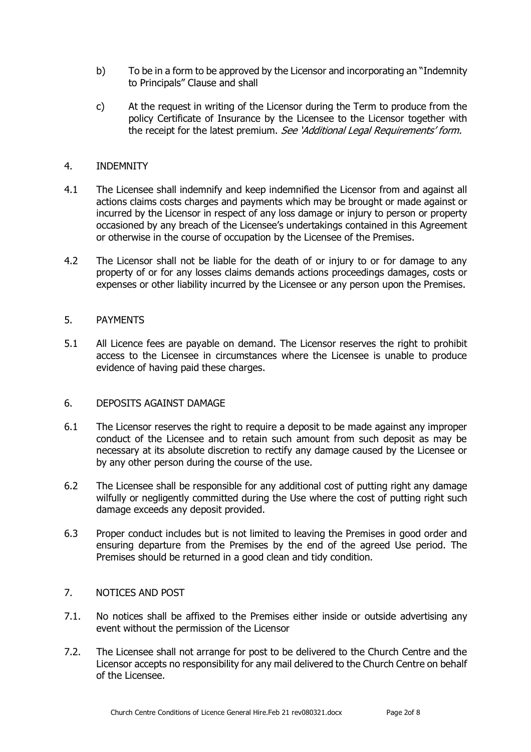- b) To be in a form to be approved by the Licensor and incorporating an "Indemnity to Principals" Clause and shall
- c) At the request in writing of the Licensor during the Term to produce from the policy Certificate of Insurance by the Licensee to the Licensor together with the receipt for the latest premium. See 'Additional Legal Requirements' form.

## 4. INDEMNITY

- 4.1 The Licensee shall indemnify and keep indemnified the Licensor from and against all actions claims costs charges and payments which may be brought or made against or incurred by the Licensor in respect of any loss damage or injury to person or property occasioned by any breach of the Licensee's undertakings contained in this Agreement or otherwise in the course of occupation by the Licensee of the Premises.
- 4.2 The Licensor shall not be liable for the death of or injury to or for damage to any property of or for any losses claims demands actions proceedings damages, costs or expenses or other liability incurred by the Licensee or any person upon the Premises.

### 5. PAYMENTS

5.1 All Licence fees are payable on demand. The Licensor reserves the right to prohibit access to the Licensee in circumstances where the Licensee is unable to produce evidence of having paid these charges.

### 6. DEPOSITS AGAINST DAMAGE

- 6.1 The Licensor reserves the right to require a deposit to be made against any improper conduct of the Licensee and to retain such amount from such deposit as may be necessary at its absolute discretion to rectify any damage caused by the Licensee or by any other person during the course of the use.
- 6.2 The Licensee shall be responsible for any additional cost of putting right any damage wilfully or negligently committed during the Use where the cost of putting right such damage exceeds any deposit provided.
- 6.3 Proper conduct includes but is not limited to leaving the Premises in good order and ensuring departure from the Premises by the end of the agreed Use period. The Premises should be returned in a good clean and tidy condition.

## 7. NOTICES AND POST

- 7.1. No notices shall be affixed to the Premises either inside or outside advertising any event without the permission of the Licensor
- 7.2. The Licensee shall not arrange for post to be delivered to the Church Centre and the Licensor accepts no responsibility for any mail delivered to the Church Centre on behalf of the Licensee.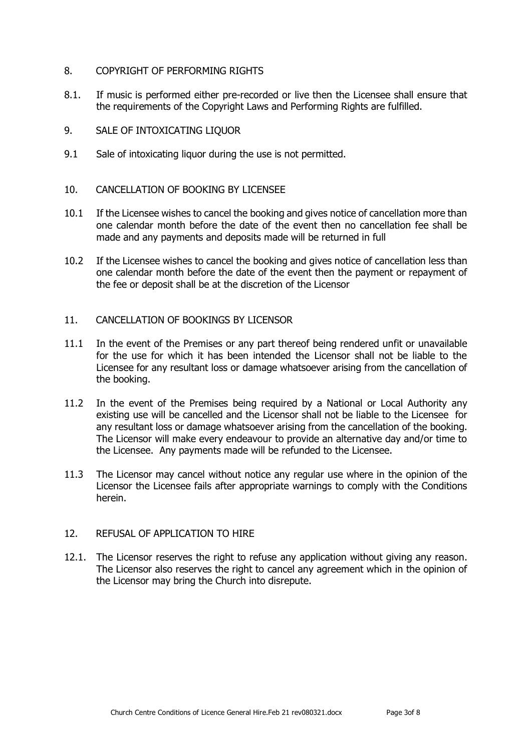## 8. COPYRIGHT OF PERFORMING RIGHTS

- 8.1. If music is performed either pre-recorded or live then the Licensee shall ensure that the requirements of the Copyright Laws and Performing Rights are fulfilled.
- 9. SALE OF INTOXICATING LIQUOR
- 9.1 Sale of intoxicating liquor during the use is not permitted.
- 10. CANCELLATION OF BOOKING BY LICENSEE
- 10.1 If the Licensee wishes to cancel the booking and gives notice of cancellation more than one calendar month before the date of the event then no cancellation fee shall be made and any payments and deposits made will be returned in full
- 10.2 If the Licensee wishes to cancel the booking and gives notice of cancellation less than one calendar month before the date of the event then the payment or repayment of the fee or deposit shall be at the discretion of the Licensor
- 11. CANCELLATION OF BOOKINGS BY LICENSOR
- 11.1 In the event of the Premises or any part thereof being rendered unfit or unavailable for the use for which it has been intended the Licensor shall not be liable to the Licensee for any resultant loss or damage whatsoever arising from the cancellation of the booking.
- 11.2 In the event of the Premises being required by a National or Local Authority any existing use will be cancelled and the Licensor shall not be liable to the Licensee for any resultant loss or damage whatsoever arising from the cancellation of the booking. The Licensor will make every endeavour to provide an alternative day and/or time to the Licensee. Any payments made will be refunded to the Licensee.
- 11.3 The Licensor may cancel without notice any regular use where in the opinion of the Licensor the Licensee fails after appropriate warnings to comply with the Conditions herein.

# 12. REFUSAL OF APPLICATION TO HIRE

12.1. The Licensor reserves the right to refuse any application without giving any reason. The Licensor also reserves the right to cancel any agreement which in the opinion of the Licensor may bring the Church into disrepute.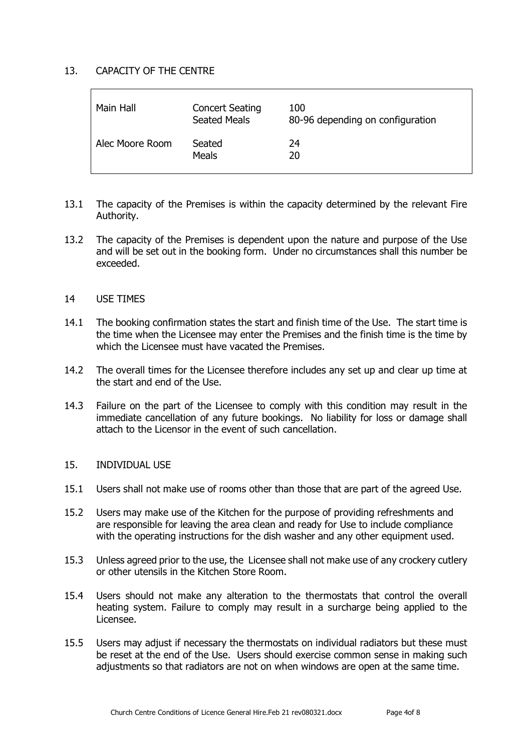## 13. CAPACITY OF THE CENTRE

| Main Hall       | <b>Concert Seating</b><br><b>Seated Meals</b> | 100<br>80-96 depending on configuration |
|-----------------|-----------------------------------------------|-----------------------------------------|
| Alec Moore Room | Seated<br><b>Meals</b>                        | 24<br>20                                |

- 13.1 The capacity of the Premises is within the capacity determined by the relevant Fire Authority.
- 13.2 The capacity of the Premises is dependent upon the nature and purpose of the Use and will be set out in the booking form. Under no circumstances shall this number be exceeded.
- 14 USE TIMES
- 14.1 The booking confirmation states the start and finish time of the Use. The start time is the time when the Licensee may enter the Premises and the finish time is the time by which the Licensee must have vacated the Premises.
- 14.2 The overall times for the Licensee therefore includes any set up and clear up time at the start and end of the Use.
- 14.3 Failure on the part of the Licensee to comply with this condition may result in the immediate cancellation of any future bookings. No liability for loss or damage shall attach to the Licensor in the event of such cancellation.

#### 15. INDIVIDUAL USE

- 15.1 Users shall not make use of rooms other than those that are part of the agreed Use.
- 15.2 Users may make use of the Kitchen for the purpose of providing refreshments and are responsible for leaving the area clean and ready for Use to include compliance with the operating instructions for the dish washer and any other equipment used.
- 15.3 Unless agreed prior to the use, the Licensee shall not make use of any crockery cutlery or other utensils in the Kitchen Store Room.
- 15.4 Users should not make any alteration to the thermostats that control the overall heating system. Failure to comply may result in a surcharge being applied to the Licensee.
- 15.5 Users may adjust if necessary the thermostats on individual radiators but these must be reset at the end of the Use. Users should exercise common sense in making such adjustments so that radiators are not on when windows are open at the same time.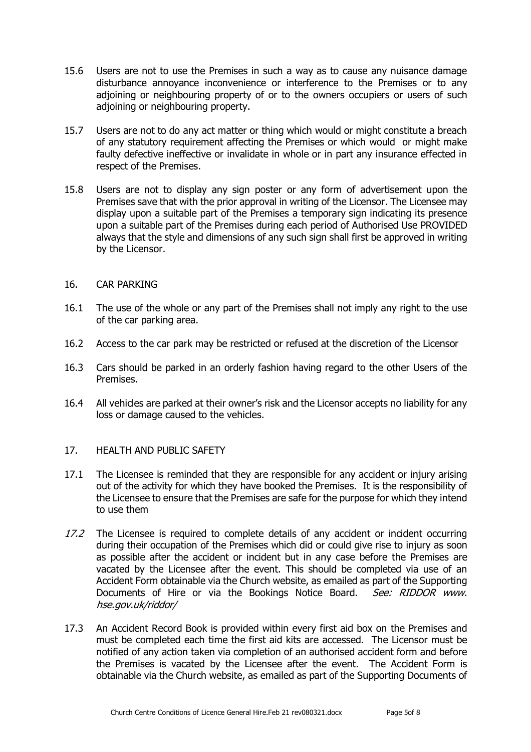- 15.6 Users are not to use the Premises in such a way as to cause any nuisance damage disturbance annoyance inconvenience or interference to the Premises or to any adjoining or neighbouring property of or to the owners occupiers or users of such adjoining or neighbouring property.
- 15.7 Users are not to do any act matter or thing which would or might constitute a breach of any statutory requirement affecting the Premises or which would or might make faulty defective ineffective or invalidate in whole or in part any insurance effected in respect of the Premises.
- 15.8 Users are not to display any sign poster or any form of advertisement upon the Premises save that with the prior approval in writing of the Licensor. The Licensee may display upon a suitable part of the Premises a temporary sign indicating its presence upon a suitable part of the Premises during each period of Authorised Use PROVIDED always that the style and dimensions of any such sign shall first be approved in writing by the Licensor.
- 16. CAR PARKING
- 16.1 The use of the whole or any part of the Premises shall not imply any right to the use of the car parking area.
- 16.2 Access to the car park may be restricted or refused at the discretion of the Licensor
- 16.3 Cars should be parked in an orderly fashion having regard to the other Users of the Premises.
- 16.4 All vehicles are parked at their owner's risk and the Licensor accepts no liability for any loss or damage caused to the vehicles.

# 17. HEALTH AND PUBLIC SAFETY

- 17.1 The Licensee is reminded that they are responsible for any accident or injury arising out of the activity for which they have booked the Premises. It is the responsibility of the Licensee to ensure that the Premises are safe for the purpose for which they intend to use them
- 17.2 The Licensee is required to complete details of any accident or incident occurring during their occupation of the Premises which did or could give rise to injury as soon as possible after the accident or incident but in any case before the Premises are vacated by the Licensee after the event. This should be completed via use of an Accident Form obtainable via the Church website, as emailed as part of the Supporting Documents of Hire or via the Bookings Notice Board. See: RIDDOR www. hse.gov.uk/riddor/
- 17.3 An Accident Record Book is provided within every first aid box on the Premises and must be completed each time the first aid kits are accessed. The Licensor must be notified of any action taken via completion of an authorised accident form and before the Premises is vacated by the Licensee after the event. The Accident Form is obtainable via the Church website, as emailed as part of the Supporting Documents of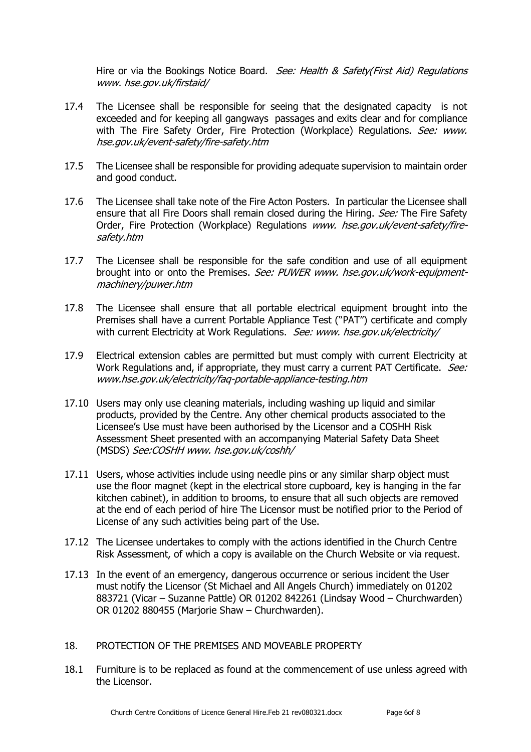Hire or via the Bookings Notice Board. See: Health & Safety(First Aid) Regulations www. hse.gov.uk/firstaid/

- 17.4 The Licensee shall be responsible for seeing that the designated capacity is not exceeded and for keeping all gangways passages and exits clear and for compliance with The Fire Safety Order, Fire Protection (Workplace) Regulations. See: www. hse.gov.uk/event-safety/fire-safety.htm
- 17.5 The Licensee shall be responsible for providing adequate supervision to maintain order and good conduct.
- 17.6 The Licensee shall take note of the Fire Acton Posters. In particular the Licensee shall ensure that all Fire Doors shall remain closed during the Hiring. *See:* The Fire Safety Order, Fire Protection (Workplace) Regulations www. hse.gov.uk/event-safety/firesafety.htm
- 17.7 The Licensee shall be responsible for the safe condition and use of all equipment brought into or onto the Premises. See: PUWER www. hse.gov.uk/work-equipmentmachinery/puwer.htm
- 17.8 The Licensee shall ensure that all portable electrical equipment brought into the Premises shall have a current Portable Appliance Test ("PAT") certificate and comply with current Electricity at Work Regulations. See: www. hse.gov.uk/electricity/
- 17.9 Electrical extension cables are permitted but must comply with current Electricity at Work Regulations and, if appropriate, they must carry a current PAT Certificate. See: www.hse.gov.uk/electricity/faq-portable-appliance-testing.htm
- 17.10 Users may only use cleaning materials, including washing up liquid and similar products, provided by the Centre. Any other chemical products associated to the Licensee's Use must have been authorised by the Licensor and a COSHH Risk Assessment Sheet presented with an accompanying Material Safety Data Sheet (MSDS) See:COSHH www. hse.gov.uk/coshh/
- 17.11 Users, whose activities include using needle pins or any similar sharp object must use the floor magnet (kept in the electrical store cupboard, key is hanging in the far kitchen cabinet), in addition to brooms, to ensure that all such objects are removed at the end of each period of hire The Licensor must be notified prior to the Period of License of any such activities being part of the Use.
- 17.12 The Licensee undertakes to comply with the actions identified in the Church Centre Risk Assessment, of which a copy is available on the Church Website or via request.
- 17.13 In the event of an emergency, dangerous occurrence or serious incident the User must notify the Licensor (St Michael and All Angels Church) immediately on 01202 883721 (Vicar – Suzanne Pattle) OR 01202 842261 (Lindsay Wood – Churchwarden) OR 01202 880455 (Marjorie Shaw – Churchwarden).
- 18. PROTECTION OF THE PREMISES AND MOVEABLE PROPERTY
- 18.1 Furniture is to be replaced as found at the commencement of use unless agreed with the Licensor.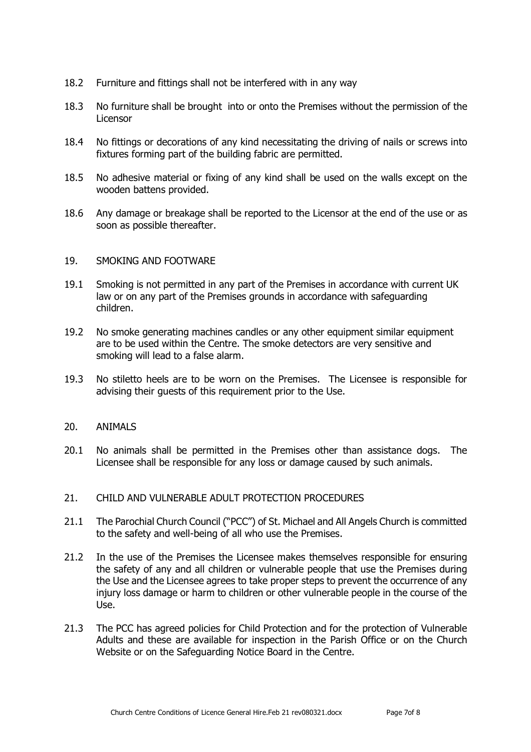- 18.2 Furniture and fittings shall not be interfered with in any way
- 18.3 No furniture shall be brought into or onto the Premises without the permission of the Licensor
- 18.4 No fittings or decorations of any kind necessitating the driving of nails or screws into fixtures forming part of the building fabric are permitted.
- 18.5 No adhesive material or fixing of any kind shall be used on the walls except on the wooden battens provided.
- 18.6 Any damage or breakage shall be reported to the Licensor at the end of the use or as soon as possible thereafter.

#### 19. SMOKING AND FOOTWARE

- 19.1 Smoking is not permitted in any part of the Premises in accordance with current UK law or on any part of the Premises grounds in accordance with safeguarding children.
- 19.2 No smoke generating machines candles or any other equipment similar equipment are to be used within the Centre. The smoke detectors are very sensitive and smoking will lead to a false alarm.
- 19.3 No stiletto heels are to be worn on the Premises. The Licensee is responsible for advising their guests of this requirement prior to the Use.

#### 20. ANIMALS

20.1 No animals shall be permitted in the Premises other than assistance dogs. The Licensee shall be responsible for any loss or damage caused by such animals.

#### 21. CHILD AND VULNERABLE ADULT PROTECTION PROCEDURES

- 21.1 The Parochial Church Council ("PCC") of St. Michael and All Angels Church is committed to the safety and well-being of all who use the Premises.
- 21.2 In the use of the Premises the Licensee makes themselves responsible for ensuring the safety of any and all children or vulnerable people that use the Premises during the Use and the Licensee agrees to take proper steps to prevent the occurrence of any injury loss damage or harm to children or other vulnerable people in the course of the Use.
- 21.3 The PCC has agreed policies for Child Protection and for the protection of Vulnerable Adults and these are available for inspection in the Parish Office or on the Church Website or on the Safeguarding Notice Board in the Centre.